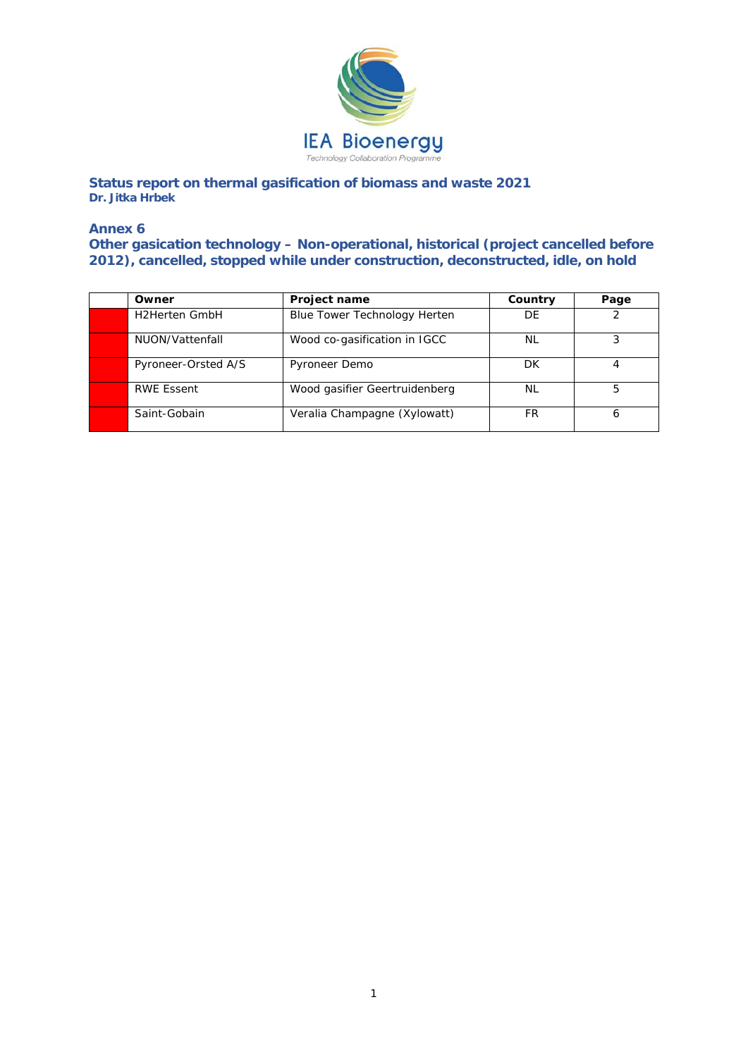

**Status report on thermal gasification of biomass and waste 2021 Dr. Jitka Hrbek** 

## **Annex 6**

**Other gasication technology – Non-operational, historical (project cancelled before 2012), cancelled, stopped while under construction, deconstructed, idle, on hold** 

| Owner                | <b>Project name</b>           | Country   | Page |
|----------------------|-------------------------------|-----------|------|
| <b>H2Herten GmbH</b> | Blue Tower Technology Herten  | DE        |      |
| NUON/Vattenfall      | Wood co-gasification in IGCC  | NL        |      |
| Pyroneer-Orsted A/S  | Pyroneer Demo                 | DK        |      |
| <b>RWE Essent</b>    | Wood gasifier Geertruidenberg | <b>NL</b> | 5    |
| Saint-Gobain         | Veralia Champagne (Xylowatt)  | FR        |      |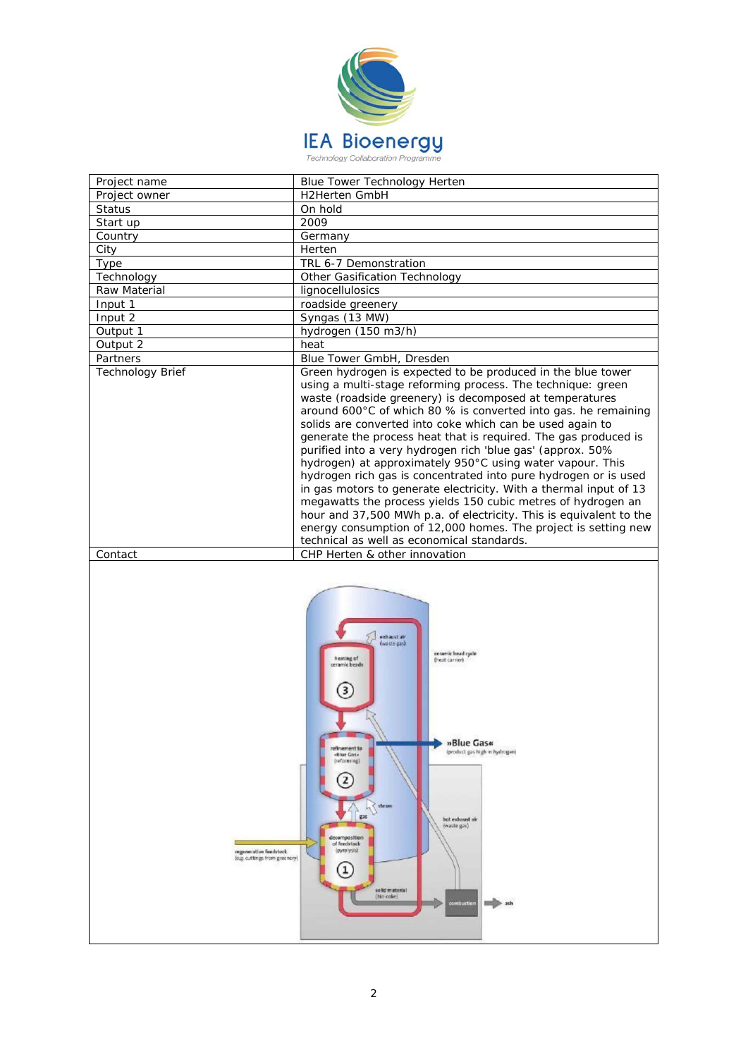

| Project name     | Blue Tower Technology Herten                                                                                                                                                                                                                                                                                                                                                                                                                                                                                                                                                                                                                                                                                                                                                                                                                                                                                     |
|------------------|------------------------------------------------------------------------------------------------------------------------------------------------------------------------------------------------------------------------------------------------------------------------------------------------------------------------------------------------------------------------------------------------------------------------------------------------------------------------------------------------------------------------------------------------------------------------------------------------------------------------------------------------------------------------------------------------------------------------------------------------------------------------------------------------------------------------------------------------------------------------------------------------------------------|
| Project owner    | <b>H2Herten GmbH</b>                                                                                                                                                                                                                                                                                                                                                                                                                                                                                                                                                                                                                                                                                                                                                                                                                                                                                             |
| <b>Status</b>    | On hold                                                                                                                                                                                                                                                                                                                                                                                                                                                                                                                                                                                                                                                                                                                                                                                                                                                                                                          |
| Start up         | 2009                                                                                                                                                                                                                                                                                                                                                                                                                                                                                                                                                                                                                                                                                                                                                                                                                                                                                                             |
| Country          | Germany                                                                                                                                                                                                                                                                                                                                                                                                                                                                                                                                                                                                                                                                                                                                                                                                                                                                                                          |
| City             | Herten                                                                                                                                                                                                                                                                                                                                                                                                                                                                                                                                                                                                                                                                                                                                                                                                                                                                                                           |
| Type             | TRL 6-7 Demonstration                                                                                                                                                                                                                                                                                                                                                                                                                                                                                                                                                                                                                                                                                                                                                                                                                                                                                            |
| Technology       | Other Gasification Technology                                                                                                                                                                                                                                                                                                                                                                                                                                                                                                                                                                                                                                                                                                                                                                                                                                                                                    |
| Raw Material     | lignocellulosics                                                                                                                                                                                                                                                                                                                                                                                                                                                                                                                                                                                                                                                                                                                                                                                                                                                                                                 |
| Input 1          | roadside greenery                                                                                                                                                                                                                                                                                                                                                                                                                                                                                                                                                                                                                                                                                                                                                                                                                                                                                                |
| Input 2          | Syngas (13 MW)                                                                                                                                                                                                                                                                                                                                                                                                                                                                                                                                                                                                                                                                                                                                                                                                                                                                                                   |
| Output 1         | hydrogen (150 m3/h)                                                                                                                                                                                                                                                                                                                                                                                                                                                                                                                                                                                                                                                                                                                                                                                                                                                                                              |
| Output 2         | heat                                                                                                                                                                                                                                                                                                                                                                                                                                                                                                                                                                                                                                                                                                                                                                                                                                                                                                             |
| Partners         | Blue Tower GmbH, Dresden                                                                                                                                                                                                                                                                                                                                                                                                                                                                                                                                                                                                                                                                                                                                                                                                                                                                                         |
| Technology Brief | Green hydrogen is expected to be produced in the blue tower<br>using a multi-stage reforming process. The technique: green<br>waste (roadside greenery) is decomposed at temperatures<br>around 600°C of which 80 % is converted into gas. he remaining<br>solids are converted into coke which can be used again to<br>generate the process heat that is required. The gas produced is<br>purified into a very hydrogen rich 'blue gas' (approx. 50%<br>hydrogen) at approximately 950°C using water vapour. This<br>hydrogen rich gas is concentrated into pure hydrogen or is used<br>in gas motors to generate electricity. With a thermal input of 13<br>megawatts the process yields 150 cubic metres of hydrogen an<br>hour and 37,500 MWh p.a. of electricity. This is equivalent to the<br>energy consumption of 12,000 homes. The project is setting new<br>technical as well as economical standards. |
| Contact          | CHP Herten & other innovation                                                                                                                                                                                                                                                                                                                                                                                                                                                                                                                                                                                                                                                                                                                                                                                                                                                                                    |

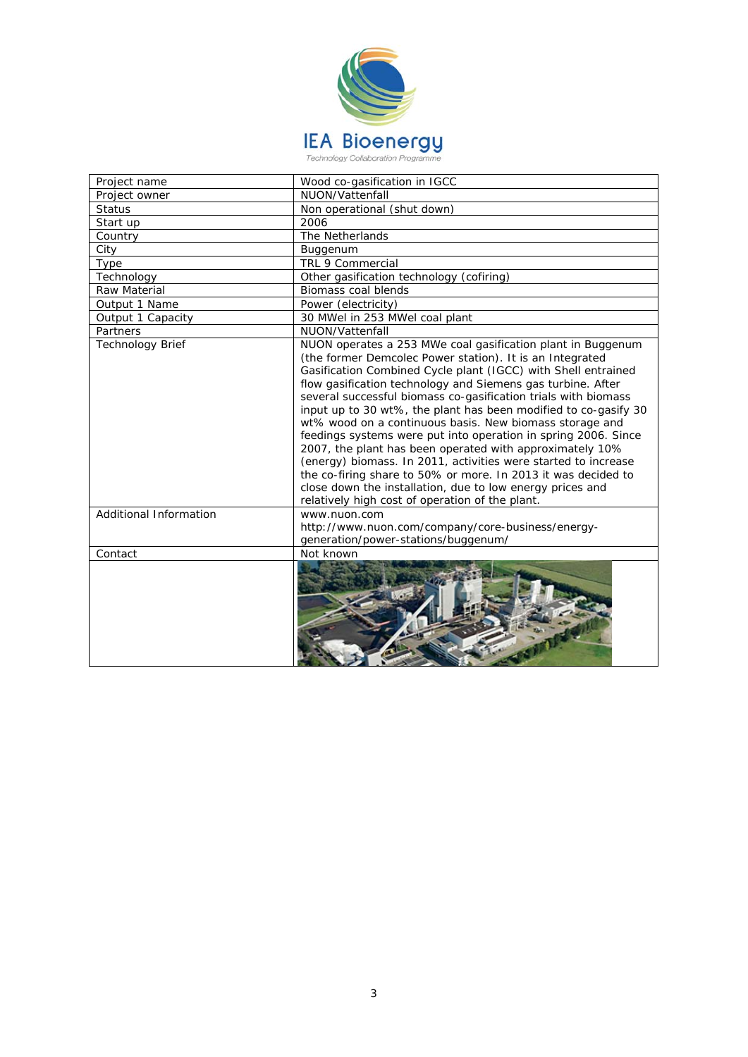

| Project name            | Wood co-gasification in IGCC                                                                                                                                                                                                                                                                                                                                                                                                                                                                                                                                                                                                                                                                                                                                                                                                             |
|-------------------------|------------------------------------------------------------------------------------------------------------------------------------------------------------------------------------------------------------------------------------------------------------------------------------------------------------------------------------------------------------------------------------------------------------------------------------------------------------------------------------------------------------------------------------------------------------------------------------------------------------------------------------------------------------------------------------------------------------------------------------------------------------------------------------------------------------------------------------------|
| Project owner           | NUON/Vattenfall                                                                                                                                                                                                                                                                                                                                                                                                                                                                                                                                                                                                                                                                                                                                                                                                                          |
| <b>Status</b>           | Non operational (shut down)                                                                                                                                                                                                                                                                                                                                                                                                                                                                                                                                                                                                                                                                                                                                                                                                              |
| Start up                | 2006                                                                                                                                                                                                                                                                                                                                                                                                                                                                                                                                                                                                                                                                                                                                                                                                                                     |
| Country                 | The Netherlands                                                                                                                                                                                                                                                                                                                                                                                                                                                                                                                                                                                                                                                                                                                                                                                                                          |
| City                    | Buggenum                                                                                                                                                                                                                                                                                                                                                                                                                                                                                                                                                                                                                                                                                                                                                                                                                                 |
| Type                    | <b>TRL 9 Commercial</b>                                                                                                                                                                                                                                                                                                                                                                                                                                                                                                                                                                                                                                                                                                                                                                                                                  |
| Technology              | Other gasification technology (cofiring)                                                                                                                                                                                                                                                                                                                                                                                                                                                                                                                                                                                                                                                                                                                                                                                                 |
| Raw Material            | Biomass coal blends                                                                                                                                                                                                                                                                                                                                                                                                                                                                                                                                                                                                                                                                                                                                                                                                                      |
| Output 1 Name           | Power (electricity)                                                                                                                                                                                                                                                                                                                                                                                                                                                                                                                                                                                                                                                                                                                                                                                                                      |
| Output 1 Capacity       | 30 MWel in 253 MWel coal plant                                                                                                                                                                                                                                                                                                                                                                                                                                                                                                                                                                                                                                                                                                                                                                                                           |
| Partners                | NUON/Vattenfall                                                                                                                                                                                                                                                                                                                                                                                                                                                                                                                                                                                                                                                                                                                                                                                                                          |
| <b>Technology Brief</b> | NUON operates a 253 MWe coal gasification plant in Buggenum<br>(the former Demcolec Power station). It is an Integrated<br>Gasification Combined Cycle plant (IGCC) with Shell entrained<br>flow gasification technology and Siemens gas turbine. After<br>several successful biomass co-gasification trials with biomass<br>input up to 30 wt%, the plant has been modified to co-gasify 30<br>wt% wood on a continuous basis. New biomass storage and<br>feedings systems were put into operation in spring 2006. Since<br>2007, the plant has been operated with approximately 10%<br>(energy) biomass. In 2011, activities were started to increase<br>the co-firing share to 50% or more. In 2013 it was decided to<br>close down the installation, due to low energy prices and<br>relatively high cost of operation of the plant. |
| Additional Information  | www.nuon.com<br>http://www.nuon.com/company/core-business/energy-<br>generation/power-stations/buggenum/                                                                                                                                                                                                                                                                                                                                                                                                                                                                                                                                                                                                                                                                                                                                 |
| Contact                 | Not known                                                                                                                                                                                                                                                                                                                                                                                                                                                                                                                                                                                                                                                                                                                                                                                                                                |
|                         |                                                                                                                                                                                                                                                                                                                                                                                                                                                                                                                                                                                                                                                                                                                                                                                                                                          |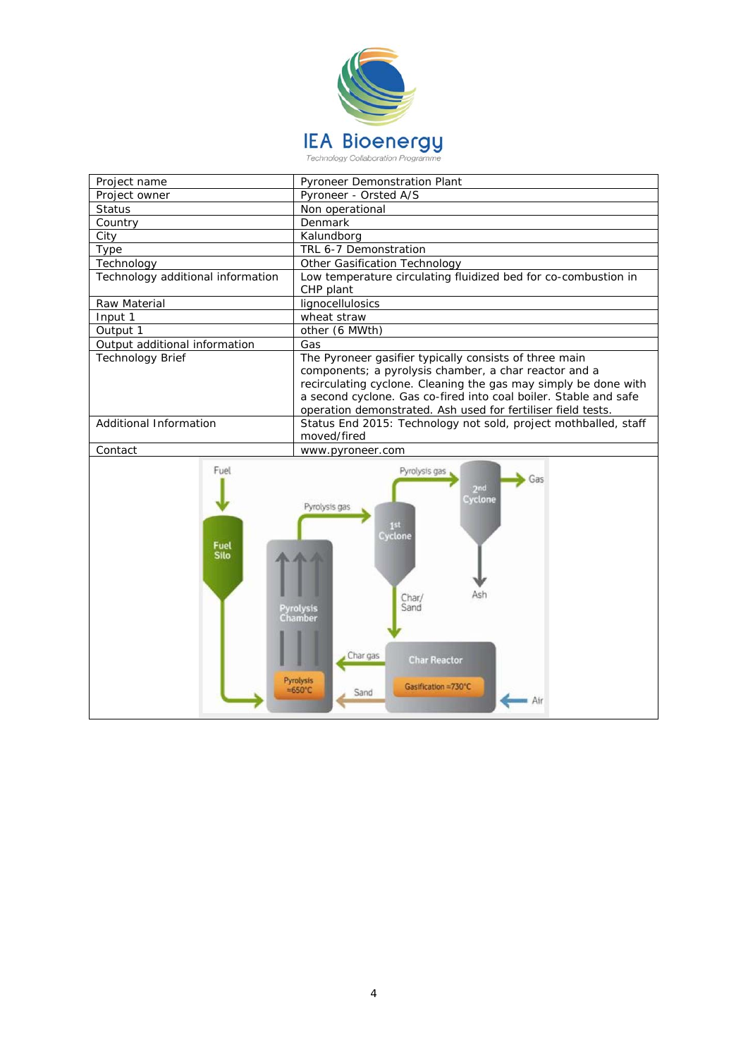

| Project name                      | <b>Pyroneer Demonstration Plant</b>                                                                                                                                                                                                                                                                                    |  |
|-----------------------------------|------------------------------------------------------------------------------------------------------------------------------------------------------------------------------------------------------------------------------------------------------------------------------------------------------------------------|--|
| Project owner                     | Pyroneer - Orsted A/S                                                                                                                                                                                                                                                                                                  |  |
| <b>Status</b>                     | Non operational                                                                                                                                                                                                                                                                                                        |  |
| Country                           | Denmark                                                                                                                                                                                                                                                                                                                |  |
| City                              | Kalundborg                                                                                                                                                                                                                                                                                                             |  |
| Type                              | TRL 6-7 Demonstration                                                                                                                                                                                                                                                                                                  |  |
| Technology                        | Other Gasification Technology                                                                                                                                                                                                                                                                                          |  |
| Technology additional information | Low temperature circulating fluidized bed for co-combustion in<br>CHP plant                                                                                                                                                                                                                                            |  |
| Raw Material                      | lignocellulosics                                                                                                                                                                                                                                                                                                       |  |
| Input 1                           | wheat straw                                                                                                                                                                                                                                                                                                            |  |
| Output 1                          | other (6 MWth)                                                                                                                                                                                                                                                                                                         |  |
| Output additional information     | Gas                                                                                                                                                                                                                                                                                                                    |  |
| <b>Technology Brief</b>           | The Pyroneer gasifier typically consists of three main<br>components; a pyrolysis chamber, a char reactor and a<br>recirculating cyclone. Cleaning the gas may simply be done with<br>a second cyclone. Gas co-fired into coal boiler. Stable and safe<br>operation demonstrated. Ash used for fertiliser field tests. |  |
| Additional Information            | Status End 2015: Technology not sold, project mothballed, staff<br>moved/fired                                                                                                                                                                                                                                         |  |
| Contact                           | www.pyroneer.com                                                                                                                                                                                                                                                                                                       |  |
| Fuel<br>Fuel<br><b>Silo</b>       | Pyrolysis gas<br>Gas<br>2nd<br>Cyclone<br>Pyrolysis gas<br>153<br>Cyclone<br>Ash<br>Char/<br>Sand<br>Pyrolysis<br>Chamber<br>Char gas<br><b>Char Reactor</b><br>Pyrolysis<br>Gasification =730°C<br>$=650^{\circ}C$<br>Sand<br>■ Air                                                                                   |  |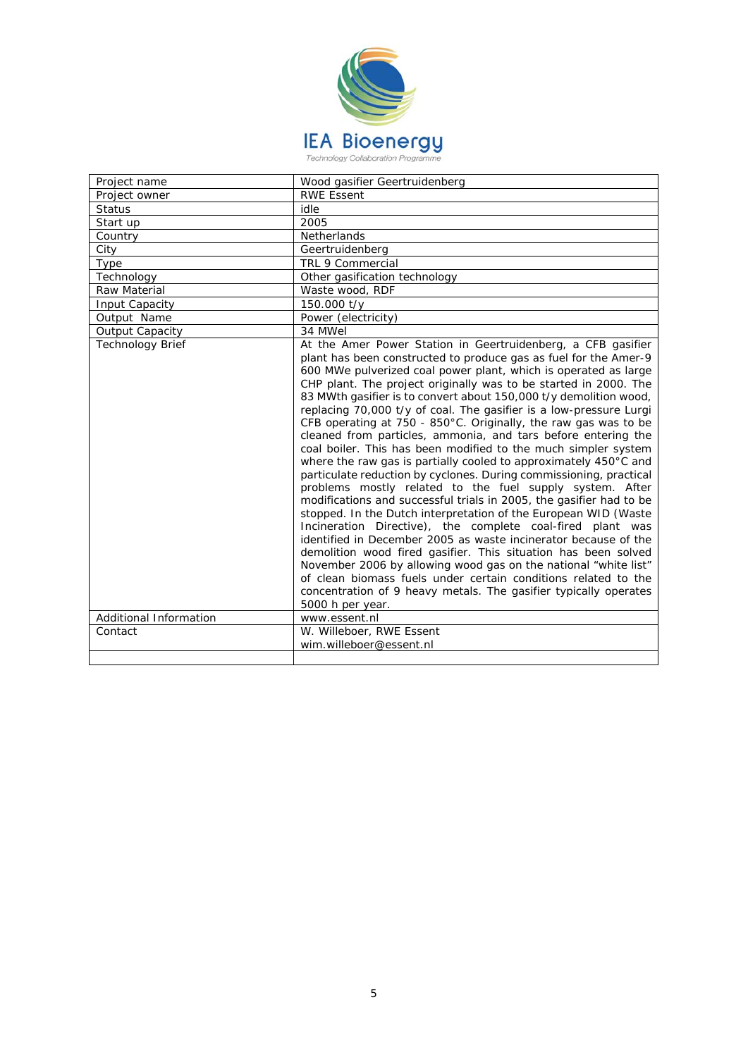

| Project name            | Wood gasifier Geertruidenberg                                                                                                                                                                                                                                                                                                                                                                                                                                                                                                                                                                                                                                                                                                                                                                                                                                                                                                                                                                                                                                                                                                                                                                                                                                                                                                                                                                            |
|-------------------------|----------------------------------------------------------------------------------------------------------------------------------------------------------------------------------------------------------------------------------------------------------------------------------------------------------------------------------------------------------------------------------------------------------------------------------------------------------------------------------------------------------------------------------------------------------------------------------------------------------------------------------------------------------------------------------------------------------------------------------------------------------------------------------------------------------------------------------------------------------------------------------------------------------------------------------------------------------------------------------------------------------------------------------------------------------------------------------------------------------------------------------------------------------------------------------------------------------------------------------------------------------------------------------------------------------------------------------------------------------------------------------------------------------|
| Project owner           | <b>RWE Essent</b>                                                                                                                                                                                                                                                                                                                                                                                                                                                                                                                                                                                                                                                                                                                                                                                                                                                                                                                                                                                                                                                                                                                                                                                                                                                                                                                                                                                        |
| <b>Status</b>           | idle                                                                                                                                                                                                                                                                                                                                                                                                                                                                                                                                                                                                                                                                                                                                                                                                                                                                                                                                                                                                                                                                                                                                                                                                                                                                                                                                                                                                     |
| Start up                | 2005                                                                                                                                                                                                                                                                                                                                                                                                                                                                                                                                                                                                                                                                                                                                                                                                                                                                                                                                                                                                                                                                                                                                                                                                                                                                                                                                                                                                     |
| Country                 | Netherlands                                                                                                                                                                                                                                                                                                                                                                                                                                                                                                                                                                                                                                                                                                                                                                                                                                                                                                                                                                                                                                                                                                                                                                                                                                                                                                                                                                                              |
| City                    | Geertruidenberg                                                                                                                                                                                                                                                                                                                                                                                                                                                                                                                                                                                                                                                                                                                                                                                                                                                                                                                                                                                                                                                                                                                                                                                                                                                                                                                                                                                          |
| Type                    | TRL 9 Commercial                                                                                                                                                                                                                                                                                                                                                                                                                                                                                                                                                                                                                                                                                                                                                                                                                                                                                                                                                                                                                                                                                                                                                                                                                                                                                                                                                                                         |
| Technology              | Other gasification technology                                                                                                                                                                                                                                                                                                                                                                                                                                                                                                                                                                                                                                                                                                                                                                                                                                                                                                                                                                                                                                                                                                                                                                                                                                                                                                                                                                            |
| Raw Material            | Waste wood, RDF                                                                                                                                                                                                                                                                                                                                                                                                                                                                                                                                                                                                                                                                                                                                                                                                                                                                                                                                                                                                                                                                                                                                                                                                                                                                                                                                                                                          |
| Input Capacity          | 150.000 t/y                                                                                                                                                                                                                                                                                                                                                                                                                                                                                                                                                                                                                                                                                                                                                                                                                                                                                                                                                                                                                                                                                                                                                                                                                                                                                                                                                                                              |
| Output Name             | Power (electricity)                                                                                                                                                                                                                                                                                                                                                                                                                                                                                                                                                                                                                                                                                                                                                                                                                                                                                                                                                                                                                                                                                                                                                                                                                                                                                                                                                                                      |
| Output Capacity         | 34 MWel                                                                                                                                                                                                                                                                                                                                                                                                                                                                                                                                                                                                                                                                                                                                                                                                                                                                                                                                                                                                                                                                                                                                                                                                                                                                                                                                                                                                  |
| <b>Technology Brief</b> | At the Amer Power Station in Geertruidenberg, a CFB gasifier<br>plant has been constructed to produce gas as fuel for the Amer-9<br>600 MWe pulverized coal power plant, which is operated as large<br>CHP plant. The project originally was to be started in 2000. The<br>83 MWth gasifier is to convert about 150,000 t/y demolition wood,<br>replacing 70,000 t/y of coal. The gasifier is a low-pressure Lurgi<br>CFB operating at 750 - 850°C. Originally, the raw gas was to be<br>cleaned from particles, ammonia, and tars before entering the<br>coal boiler. This has been modified to the much simpler system<br>where the raw gas is partially cooled to approximately 450°C and<br>particulate reduction by cyclones. During commissioning, practical<br>problems mostly related to the fuel supply system. After<br>modifications and successful trials in 2005, the gasifier had to be<br>stopped. In the Dutch interpretation of the European WID (Waste<br>Incineration Directive), the complete coal-fired plant was<br>identified in December 2005 as waste incinerator because of the<br>demolition wood fired gasifier. This situation has been solved<br>November 2006 by allowing wood gas on the national "white list"<br>of clean biomass fuels under certain conditions related to the<br>concentration of 9 heavy metals. The gasifier typically operates<br>5000 h per year. |
| Additional Information  | www.essent.nl                                                                                                                                                                                                                                                                                                                                                                                                                                                                                                                                                                                                                                                                                                                                                                                                                                                                                                                                                                                                                                                                                                                                                                                                                                                                                                                                                                                            |
| Contact                 | W. Willeboer, RWE Essent                                                                                                                                                                                                                                                                                                                                                                                                                                                                                                                                                                                                                                                                                                                                                                                                                                                                                                                                                                                                                                                                                                                                                                                                                                                                                                                                                                                 |
|                         | wim.willeboer@essent.nl                                                                                                                                                                                                                                                                                                                                                                                                                                                                                                                                                                                                                                                                                                                                                                                                                                                                                                                                                                                                                                                                                                                                                                                                                                                                                                                                                                                  |
|                         |                                                                                                                                                                                                                                                                                                                                                                                                                                                                                                                                                                                                                                                                                                                                                                                                                                                                                                                                                                                                                                                                                                                                                                                                                                                                                                                                                                                                          |